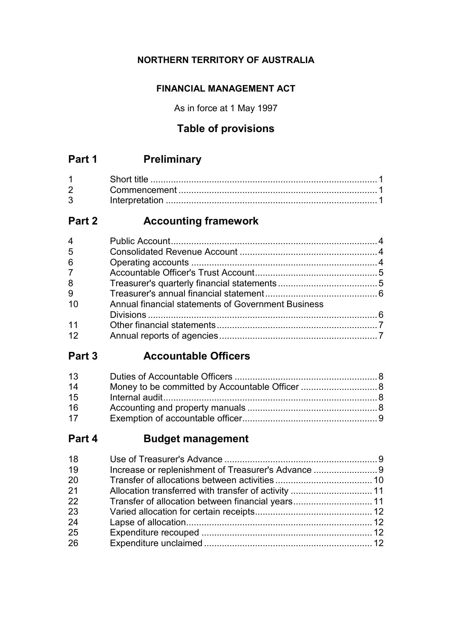### **NORTHERN TERRITORY OF AUSTRALIA**

### **FINANCIAL MANAGEMENT ACT**

As in force at 1 May 1997

# **Table of provisions**

# **Part 1 Preliminary**

| $1 \quad \blacksquare$         |  |
|--------------------------------|--|
| $2 \left( \frac{1}{2} \right)$ |  |
|                                |  |

# **Part 2 Accounting framework**

| $\overline{4}$ |                                                    |  |
|----------------|----------------------------------------------------|--|
| 5              |                                                    |  |
| 6              |                                                    |  |
| 7 <sup>7</sup> |                                                    |  |
| 8              |                                                    |  |
| 9              |                                                    |  |
| 10             | Annual financial statements of Government Business |  |
|                |                                                    |  |
| 11             |                                                    |  |
| 12             |                                                    |  |
|                |                                                    |  |

# **Part 3 Accountable Officers**

| 13 |  |
|----|--|
| 14 |  |
| 15 |  |
| 16 |  |
| 17 |  |

# **Part 4 Budget management**

| 18 |                                                   |  |
|----|---------------------------------------------------|--|
| 19 |                                                   |  |
| 20 |                                                   |  |
| 21 |                                                   |  |
| 22 | Transfer of allocation between financial years 11 |  |
| 23 |                                                   |  |
| 24 |                                                   |  |
| 25 |                                                   |  |
| 26 |                                                   |  |
|    |                                                   |  |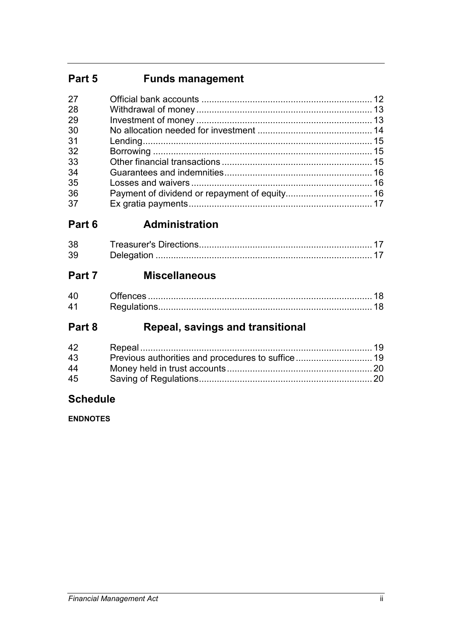# **Part 5 Funds management**

| 27 |  |
|----|--|
| 28 |  |
| 29 |  |
| 30 |  |
| 31 |  |
| 32 |  |
| 33 |  |
| 34 |  |
| 35 |  |
| 36 |  |
| 37 |  |

# **Part 6 Administration**

| .38 |  |
|-----|--|
| 39  |  |

# **Part 7 Miscellaneous**

| , <del>c</del> > ……………………………………………………………………………………… IO |  |
|-------------------------------------------------------|--|
|                                                       |  |

# **Part 8 Repeal, savings and transitional**

| 42 |  |
|----|--|
| 43 |  |
| 44 |  |
| 45 |  |

# **Schedule**

**ENDNOTES**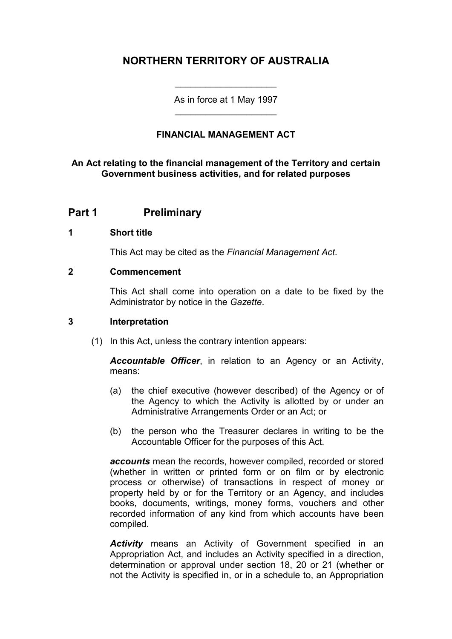# **NORTHERN TERRITORY OF AUSTRALIA**

As in force at 1 May 1997 \_\_\_\_\_\_\_\_\_\_\_\_\_\_\_\_\_\_\_\_

\_\_\_\_\_\_\_\_\_\_\_\_\_\_\_\_\_\_\_\_

#### **FINANCIAL MANAGEMENT ACT**

#### **An Act relating to the financial management of the Territory and certain Government business activities, and for related purposes**

#### **Part 1 Preliminary**

#### **1 Short title**

This Act may be cited as the *Financial Management Act*.

#### **2 Commencement**

This Act shall come into operation on a date to be fixed by the Administrator by notice in the *Gazette*.

#### **3 Interpretation**

(1) In this Act, unless the contrary intention appears:

*Accountable Officer*, in relation to an Agency or an Activity, means:

- (a) the chief executive (however described) of the Agency or of the Agency to which the Activity is allotted by or under an Administrative Arrangements Order or an Act; or
- (b) the person who the Treasurer declares in writing to be the Accountable Officer for the purposes of this Act.

*accounts* mean the records, however compiled, recorded or stored (whether in written or printed form or on film or by electronic process or otherwise) of transactions in respect of money or property held by or for the Territory or an Agency, and includes books, documents, writings, money forms, vouchers and other recorded information of any kind from which accounts have been compiled.

*Activity* means an Activity of Government specified in an Appropriation Act, and includes an Activity specified in a direction, determination or approval under section 18, 20 or 21 (whether or not the Activity is specified in, or in a schedule to, an Appropriation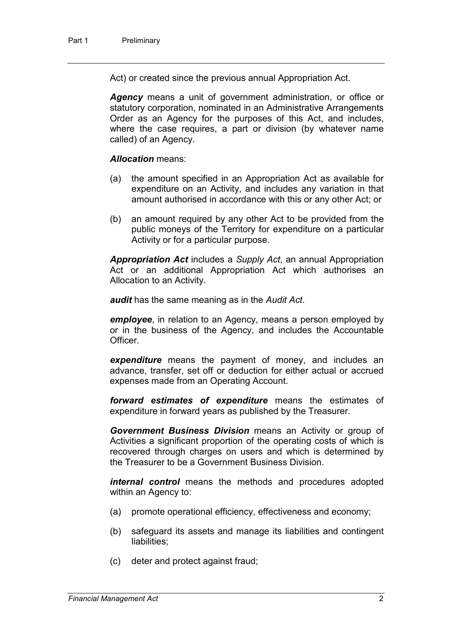Act) or created since the previous annual Appropriation Act.

*Agency* means a unit of government administration, or office or statutory corporation, nominated in an Administrative Arrangements Order as an Agency for the purposes of this Act, and includes, where the case requires, a part or division (by whatever name called) of an Agency.

#### *Allocation* means:

- (a) the amount specified in an Appropriation Act as available for expenditure on an Activity, and includes any variation in that amount authorised in accordance with this or any other Act; or
- (b) an amount required by any other Act to be provided from the public moneys of the Territory for expenditure on a particular Activity or for a particular purpose.

*Appropriation Act* includes a *Supply Act*, an annual Appropriation Act or an additional Appropriation Act which authorises an Allocation to an Activity.

*audit* has the same meaning as in the *Audit Act*.

*employee*, in relation to an Agency, means a person employed by or in the business of the Agency, and includes the Accountable Officer.

*expenditure* means the payment of money, and includes an advance, transfer, set off or deduction for either actual or accrued expenses made from an Operating Account.

*forward estimates of expenditure* means the estimates of expenditure in forward years as published by the Treasurer.

*Government Business Division* means an Activity or group of Activities a significant proportion of the operating costs of which is recovered through charges on users and which is determined by the Treasurer to be a Government Business Division.

*internal control* means the methods and procedures adopted within an Agency to:

- (a) promote operational efficiency, effectiveness and economy;
- (b) safeguard its assets and manage its liabilities and contingent liabilities;
- (c) deter and protect against fraud;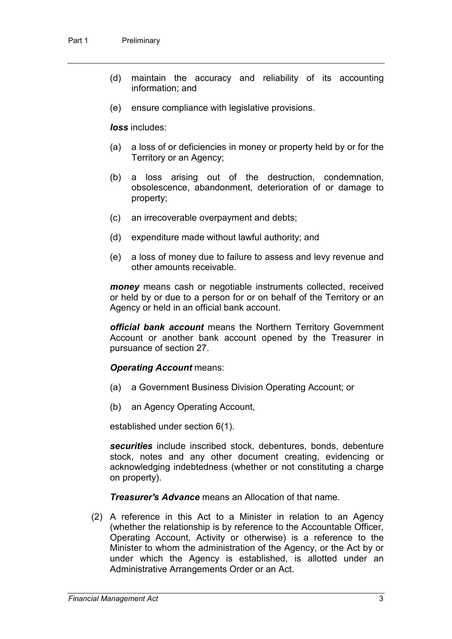- (d) maintain the accuracy and reliability of its accounting information; and
- (e) ensure compliance with legislative provisions.

*loss* includes:

- (a) a loss of or deficiencies in money or property held by or for the Territory or an Agency;
- (b) a loss arising out of the destruction, condemnation, obsolescence, abandonment, deterioration of or damage to property;
- (c) an irrecoverable overpayment and debts;
- (d) expenditure made without lawful authority; and
- (e) a loss of money due to failure to assess and levy revenue and other amounts receivable.

*money* means cash or negotiable instruments collected, received or held by or due to a person for or on behalf of the Territory or an Agency or held in an official bank account.

*official bank account* means the Northern Territory Government Account or another bank account opened by the Treasurer in pursuance of section 27.

#### *Operating Account* means:

- (a) a Government Business Division Operating Account; or
- (b) an Agency Operating Account,

established under section 6(1).

*securities* include inscribed stock, debentures, bonds, debenture stock, notes and any other document creating, evidencing or acknowledging indebtedness (whether or not constituting a charge on property).

*Treasurer's Advance* means an Allocation of that name.

(2) A reference in this Act to a Minister in relation to an Agency (whether the relationship is by reference to the Accountable Officer, Operating Account, Activity or otherwise) is a reference to the Minister to whom the administration of the Agency, or the Act by or under which the Agency is established, is allotted under an Administrative Arrangements Order or an Act.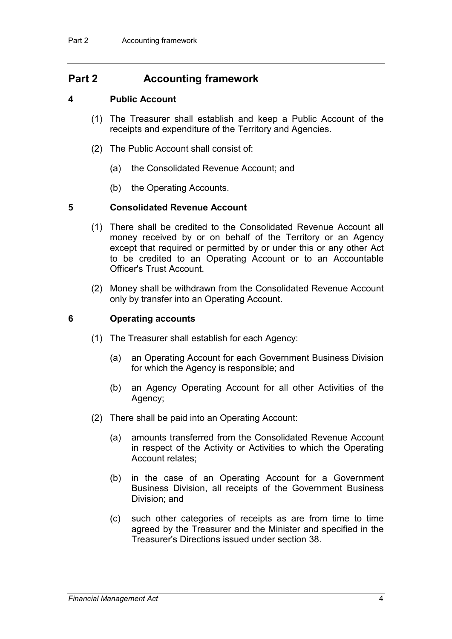### **Part 2 Accounting framework**

#### **4 Public Account**

- (1) The Treasurer shall establish and keep a Public Account of the receipts and expenditure of the Territory and Agencies.
- (2) The Public Account shall consist of:
	- (a) the Consolidated Revenue Account; and
	- (b) the Operating Accounts.

#### **5 Consolidated Revenue Account**

- (1) There shall be credited to the Consolidated Revenue Account all money received by or on behalf of the Territory or an Agency except that required or permitted by or under this or any other Act to be credited to an Operating Account or to an Accountable Officer's Trust Account.
- (2) Money shall be withdrawn from the Consolidated Revenue Account only by transfer into an Operating Account.

#### **6 Operating accounts**

- (1) The Treasurer shall establish for each Agency:
	- (a) an Operating Account for each Government Business Division for which the Agency is responsible; and
	- (b) an Agency Operating Account for all other Activities of the Agency;
- (2) There shall be paid into an Operating Account:
	- (a) amounts transferred from the Consolidated Revenue Account in respect of the Activity or Activities to which the Operating Account relates;
	- (b) in the case of an Operating Account for a Government Business Division, all receipts of the Government Business Division; and
	- (c) such other categories of receipts as are from time to time agreed by the Treasurer and the Minister and specified in the Treasurer's Directions issued under section 38.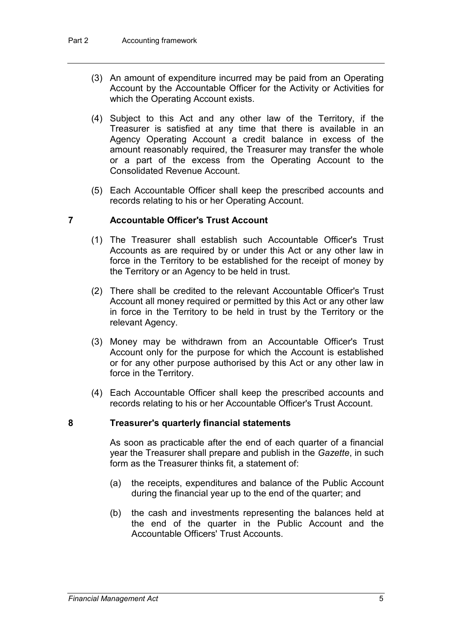- (3) An amount of expenditure incurred may be paid from an Operating Account by the Accountable Officer for the Activity or Activities for which the Operating Account exists.
- (4) Subject to this Act and any other law of the Territory, if the Treasurer is satisfied at any time that there is available in an Agency Operating Account a credit balance in excess of the amount reasonably required, the Treasurer may transfer the whole or a part of the excess from the Operating Account to the Consolidated Revenue Account.
- (5) Each Accountable Officer shall keep the prescribed accounts and records relating to his or her Operating Account.

#### **7 Accountable Officer's Trust Account**

- (1) The Treasurer shall establish such Accountable Officer's Trust Accounts as are required by or under this Act or any other law in force in the Territory to be established for the receipt of money by the Territory or an Agency to be held in trust.
- (2) There shall be credited to the relevant Accountable Officer's Trust Account all money required or permitted by this Act or any other law in force in the Territory to be held in trust by the Territory or the relevant Agency.
- (3) Money may be withdrawn from an Accountable Officer's Trust Account only for the purpose for which the Account is established or for any other purpose authorised by this Act or any other law in force in the Territory.
- (4) Each Accountable Officer shall keep the prescribed accounts and records relating to his or her Accountable Officer's Trust Account.

#### **8 Treasurer's quarterly financial statements**

As soon as practicable after the end of each quarter of a financial year the Treasurer shall prepare and publish in the *Gazette*, in such form as the Treasurer thinks fit, a statement of:

- (a) the receipts, expenditures and balance of the Public Account during the financial year up to the end of the quarter; and
- (b) the cash and investments representing the balances held at the end of the quarter in the Public Account and the Accountable Officers' Trust Accounts.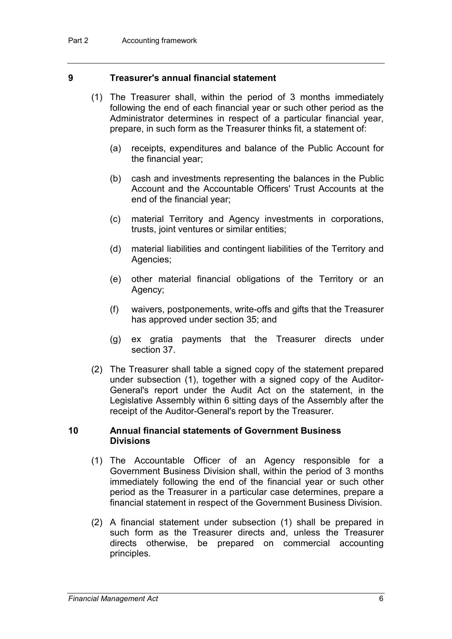#### **9 Treasurer's annual financial statement**

- (1) The Treasurer shall, within the period of 3 months immediately following the end of each financial year or such other period as the Administrator determines in respect of a particular financial year, prepare, in such form as the Treasurer thinks fit, a statement of:
	- (a) receipts, expenditures and balance of the Public Account for the financial year;
	- (b) cash and investments representing the balances in the Public Account and the Accountable Officers' Trust Accounts at the end of the financial year;
	- (c) material Territory and Agency investments in corporations, trusts, joint ventures or similar entities;
	- (d) material liabilities and contingent liabilities of the Territory and Agencies;
	- (e) other material financial obligations of the Territory or an Agency;
	- (f) waivers, postponements, write-offs and gifts that the Treasurer has approved under section 35; and
	- (g) ex gratia payments that the Treasurer directs under section 37.
- (2) The Treasurer shall table a signed copy of the statement prepared under subsection (1), together with a signed copy of the Auditor-General's report under the Audit Act on the statement, in the Legislative Assembly within 6 sitting days of the Assembly after the receipt of the Auditor-General's report by the Treasurer.

#### **10 Annual financial statements of Government Business Divisions**

- (1) The Accountable Officer of an Agency responsible for a Government Business Division shall, within the period of 3 months immediately following the end of the financial year or such other period as the Treasurer in a particular case determines, prepare a financial statement in respect of the Government Business Division.
- (2) A financial statement under subsection (1) shall be prepared in such form as the Treasurer directs and, unless the Treasurer directs otherwise, be prepared on commercial accounting principles.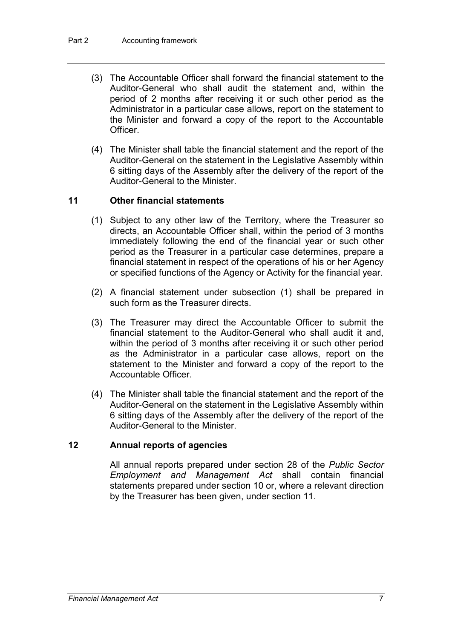- (3) The Accountable Officer shall forward the financial statement to the Auditor-General who shall audit the statement and, within the period of 2 months after receiving it or such other period as the Administrator in a particular case allows, report on the statement to the Minister and forward a copy of the report to the Accountable **Officer**
- (4) The Minister shall table the financial statement and the report of the Auditor-General on the statement in the Legislative Assembly within 6 sitting days of the Assembly after the delivery of the report of the Auditor-General to the Minister.

#### **11 Other financial statements**

- (1) Subject to any other law of the Territory, where the Treasurer so directs, an Accountable Officer shall, within the period of 3 months immediately following the end of the financial year or such other period as the Treasurer in a particular case determines, prepare a financial statement in respect of the operations of his or her Agency or specified functions of the Agency or Activity for the financial year.
- (2) A financial statement under subsection (1) shall be prepared in such form as the Treasurer directs.
- (3) The Treasurer may direct the Accountable Officer to submit the financial statement to the Auditor-General who shall audit it and, within the period of 3 months after receiving it or such other period as the Administrator in a particular case allows, report on the statement to the Minister and forward a copy of the report to the Accountable Officer.
- (4) The Minister shall table the financial statement and the report of the Auditor-General on the statement in the Legislative Assembly within 6 sitting days of the Assembly after the delivery of the report of the Auditor-General to the Minister.

#### **12 Annual reports of agencies**

All annual reports prepared under section 28 of the *Public Sector Employment and Management Act* shall contain financial statements prepared under section 10 or, where a relevant direction by the Treasurer has been given, under section 11.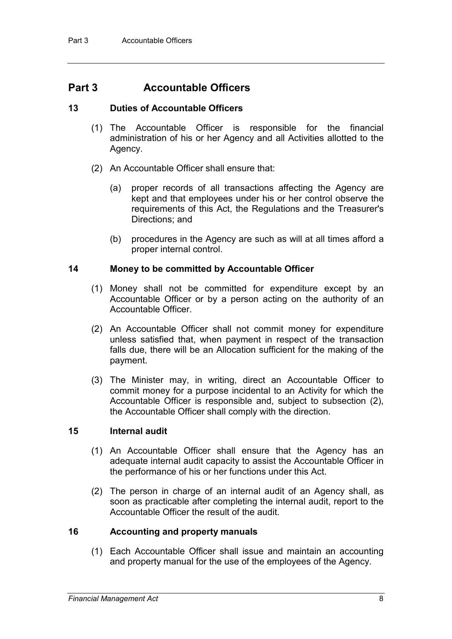### **Part 3 Accountable Officers**

#### **13 Duties of Accountable Officers**

- (1) The Accountable Officer is responsible for the financial administration of his or her Agency and all Activities allotted to the Agency.
- (2) An Accountable Officer shall ensure that:
	- (a) proper records of all transactions affecting the Agency are kept and that employees under his or her control observe the requirements of this Act, the Regulations and the Treasurer's Directions; and
	- (b) procedures in the Agency are such as will at all times afford a proper internal control.

#### **14 Money to be committed by Accountable Officer**

- (1) Money shall not be committed for expenditure except by an Accountable Officer or by a person acting on the authority of an Accountable Officer.
- (2) An Accountable Officer shall not commit money for expenditure unless satisfied that, when payment in respect of the transaction falls due, there will be an Allocation sufficient for the making of the payment.
- (3) The Minister may, in writing, direct an Accountable Officer to commit money for a purpose incidental to an Activity for which the Accountable Officer is responsible and, subject to subsection (2), the Accountable Officer shall comply with the direction.

#### **15 Internal audit**

- (1) An Accountable Officer shall ensure that the Agency has an adequate internal audit capacity to assist the Accountable Officer in the performance of his or her functions under this Act.
- (2) The person in charge of an internal audit of an Agency shall, as soon as practicable after completing the internal audit, report to the Accountable Officer the result of the audit.

#### **16 Accounting and property manuals**

(1) Each Accountable Officer shall issue and maintain an accounting and property manual for the use of the employees of the Agency.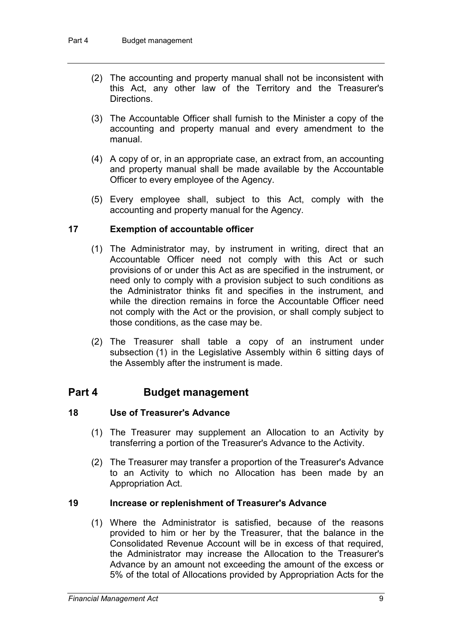- (2) The accounting and property manual shall not be inconsistent with this Act, any other law of the Territory and the Treasurer's Directions.
- (3) The Accountable Officer shall furnish to the Minister a copy of the accounting and property manual and every amendment to the manual.
- (4) A copy of or, in an appropriate case, an extract from, an accounting and property manual shall be made available by the Accountable Officer to every employee of the Agency.
- (5) Every employee shall, subject to this Act, comply with the accounting and property manual for the Agency.

#### **17 Exemption of accountable officer**

- (1) The Administrator may, by instrument in writing, direct that an Accountable Officer need not comply with this Act or such provisions of or under this Act as are specified in the instrument, or need only to comply with a provision subject to such conditions as the Administrator thinks fit and specifies in the instrument, and while the direction remains in force the Accountable Officer need not comply with the Act or the provision, or shall comply subject to those conditions, as the case may be.
- (2) The Treasurer shall table a copy of an instrument under subsection (1) in the Legislative Assembly within 6 sitting days of the Assembly after the instrument is made.

#### **Part 4 Budget management**

#### **18 Use of Treasurer's Advance**

- (1) The Treasurer may supplement an Allocation to an Activity by transferring a portion of the Treasurer's Advance to the Activity.
- (2) The Treasurer may transfer a proportion of the Treasurer's Advance to an Activity to which no Allocation has been made by an Appropriation Act.

#### **19 Increase or replenishment of Treasurer's Advance**

(1) Where the Administrator is satisfied, because of the reasons provided to him or her by the Treasurer, that the balance in the Consolidated Revenue Account will be in excess of that required, the Administrator may increase the Allocation to the Treasurer's Advance by an amount not exceeding the amount of the excess or 5% of the total of Allocations provided by Appropriation Acts for the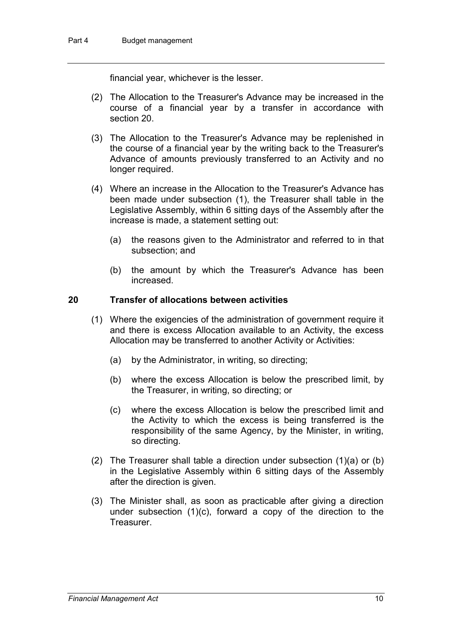financial year, whichever is the lesser.

- (2) The Allocation to the Treasurer's Advance may be increased in the course of a financial year by a transfer in accordance with section 20.
- (3) The Allocation to the Treasurer's Advance may be replenished in the course of a financial year by the writing back to the Treasurer's Advance of amounts previously transferred to an Activity and no longer required.
- (4) Where an increase in the Allocation to the Treasurer's Advance has been made under subsection (1), the Treasurer shall table in the Legislative Assembly, within 6 sitting days of the Assembly after the increase is made, a statement setting out:
	- (a) the reasons given to the Administrator and referred to in that subsection; and
	- (b) the amount by which the Treasurer's Advance has been increased.

#### **20 Transfer of allocations between activities**

- (1) Where the exigencies of the administration of government require it and there is excess Allocation available to an Activity, the excess Allocation may be transferred to another Activity or Activities:
	- (a) by the Administrator, in writing, so directing;
	- (b) where the excess Allocation is below the prescribed limit, by the Treasurer, in writing, so directing; or
	- (c) where the excess Allocation is below the prescribed limit and the Activity to which the excess is being transferred is the responsibility of the same Agency, by the Minister, in writing, so directing.
- (2) The Treasurer shall table a direction under subsection (1)(a) or (b) in the Legislative Assembly within 6 sitting days of the Assembly after the direction is given.
- (3) The Minister shall, as soon as practicable after giving a direction under subsection (1)(c), forward a copy of the direction to the Treasurer.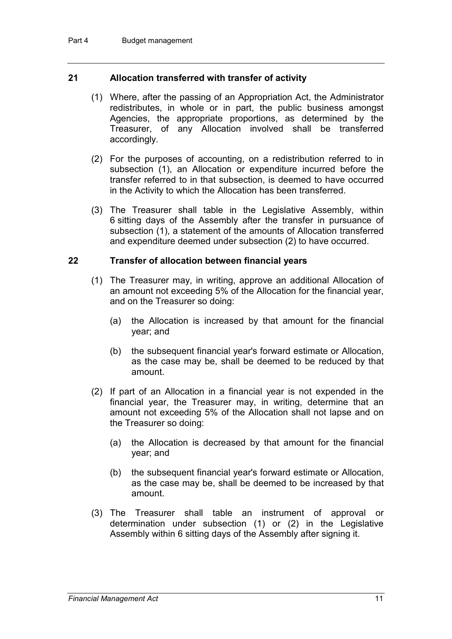#### **21 Allocation transferred with transfer of activity**

- (1) Where, after the passing of an Appropriation Act, the Administrator redistributes, in whole or in part, the public business amongst Agencies, the appropriate proportions, as determined by the Treasurer, of any Allocation involved shall be transferred accordingly.
- (2) For the purposes of accounting, on a redistribution referred to in subsection (1), an Allocation or expenditure incurred before the transfer referred to in that subsection, is deemed to have occurred in the Activity to which the Allocation has been transferred.
- (3) The Treasurer shall table in the Legislative Assembly, within 6 sitting days of the Assembly after the transfer in pursuance of subsection (1), a statement of the amounts of Allocation transferred and expenditure deemed under subsection (2) to have occurred.

#### **22 Transfer of allocation between financial years**

- (1) The Treasurer may, in writing, approve an additional Allocation of an amount not exceeding 5% of the Allocation for the financial year, and on the Treasurer so doing:
	- (a) the Allocation is increased by that amount for the financial year; and
	- (b) the subsequent financial year's forward estimate or Allocation, as the case may be, shall be deemed to be reduced by that amount.
- (2) If part of an Allocation in a financial year is not expended in the financial year, the Treasurer may, in writing, determine that an amount not exceeding 5% of the Allocation shall not lapse and on the Treasurer so doing:
	- (a) the Allocation is decreased by that amount for the financial year; and
	- (b) the subsequent financial year's forward estimate or Allocation, as the case may be, shall be deemed to be increased by that amount.
- (3) The Treasurer shall table an instrument of approval or determination under subsection (1) or (2) in the Legislative Assembly within 6 sitting days of the Assembly after signing it.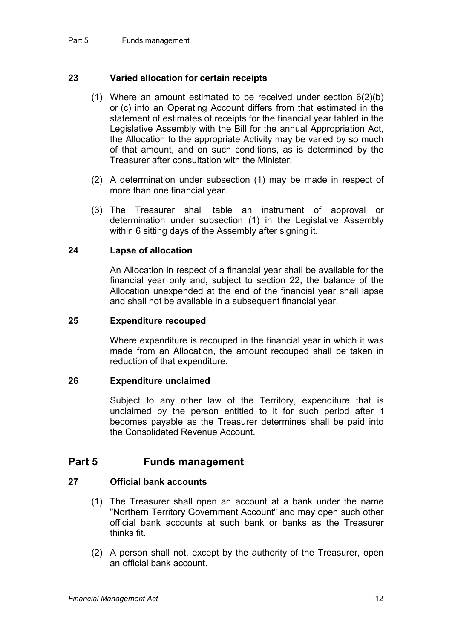#### **23 Varied allocation for certain receipts**

- (1) Where an amount estimated to be received under section 6(2)(b) or (c) into an Operating Account differs from that estimated in the statement of estimates of receipts for the financial year tabled in the Legislative Assembly with the Bill for the annual Appropriation Act, the Allocation to the appropriate Activity may be varied by so much of that amount, and on such conditions, as is determined by the Treasurer after consultation with the Minister.
- (2) A determination under subsection (1) may be made in respect of more than one financial year.
- (3) The Treasurer shall table an instrument of approval or determination under subsection (1) in the Legislative Assembly within 6 sitting days of the Assembly after signing it.

#### **24 Lapse of allocation**

An Allocation in respect of a financial year shall be available for the financial year only and, subject to section 22, the balance of the Allocation unexpended at the end of the financial year shall lapse and shall not be available in a subsequent financial year.

#### **25 Expenditure recouped**

Where expenditure is recouped in the financial year in which it was made from an Allocation, the amount recouped shall be taken in reduction of that expenditure.

#### **26 Expenditure unclaimed**

Subject to any other law of the Territory, expenditure that is unclaimed by the person entitled to it for such period after it becomes payable as the Treasurer determines shall be paid into the Consolidated Revenue Account.

#### **Part 5 Funds management**

#### **27 Official bank accounts**

- (1) The Treasurer shall open an account at a bank under the name "Northern Territory Government Account" and may open such other official bank accounts at such bank or banks as the Treasurer thinks fit.
- (2) A person shall not, except by the authority of the Treasurer, open an official bank account.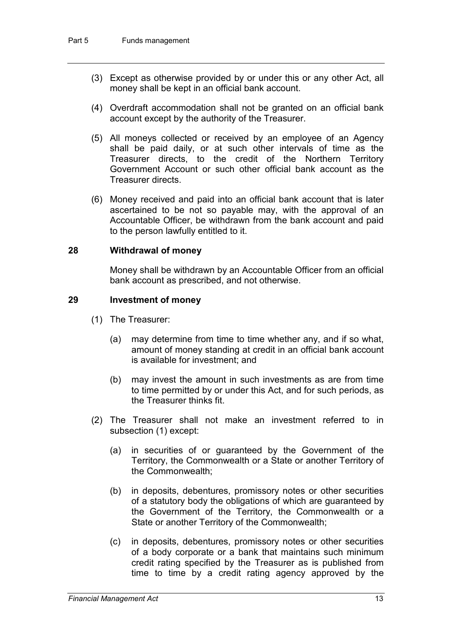- (3) Except as otherwise provided by or under this or any other Act, all money shall be kept in an official bank account.
- (4) Overdraft accommodation shall not be granted on an official bank account except by the authority of the Treasurer.
- (5) All moneys collected or received by an employee of an Agency shall be paid daily, or at such other intervals of time as the Treasurer directs, to the credit of the Northern Territory Government Account or such other official bank account as the Treasurer directs.
- (6) Money received and paid into an official bank account that is later ascertained to be not so payable may, with the approval of an Accountable Officer, be withdrawn from the bank account and paid to the person lawfully entitled to it.

#### **28 Withdrawal of money**

Money shall be withdrawn by an Accountable Officer from an official bank account as prescribed, and not otherwise.

#### **29 Investment of money**

- (1) The Treasurer:
	- (a) may determine from time to time whether any, and if so what, amount of money standing at credit in an official bank account is available for investment; and
	- (b) may invest the amount in such investments as are from time to time permitted by or under this Act, and for such periods, as the Treasurer thinks fit.
- (2) The Treasurer shall not make an investment referred to in subsection (1) except:
	- (a) in securities of or guaranteed by the Government of the Territory, the Commonwealth or a State or another Territory of the Commonwealth;
	- (b) in deposits, debentures, promissory notes or other securities of a statutory body the obligations of which are guaranteed by the Government of the Territory, the Commonwealth or a State or another Territory of the Commonwealth;
	- (c) in deposits, debentures, promissory notes or other securities of a body corporate or a bank that maintains such minimum credit rating specified by the Treasurer as is published from time to time by a credit rating agency approved by the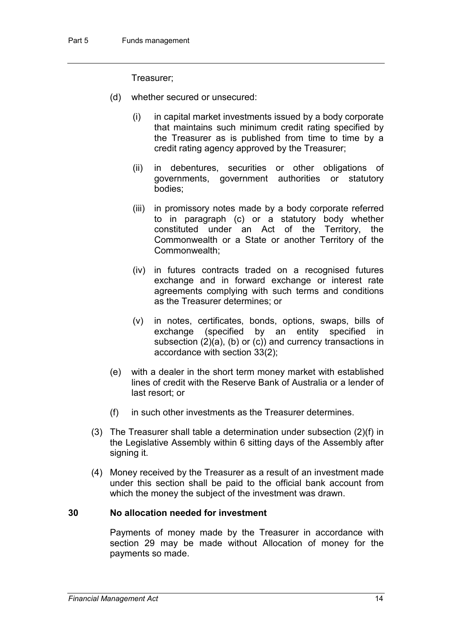Treasurer;

- (d) whether secured or unsecured:
	- (i) in capital market investments issued by a body corporate that maintains such minimum credit rating specified by the Treasurer as is published from time to time by a credit rating agency approved by the Treasurer;
	- (ii) in debentures, securities or other obligations of governments, government authorities or statutory bodies;
	- (iii) in promissory notes made by a body corporate referred to in paragraph (c) or a statutory body whether constituted under an Act of the Territory, the Commonwealth or a State or another Territory of the Commonwealth;
	- (iv) in futures contracts traded on a recognised futures exchange and in forward exchange or interest rate agreements complying with such terms and conditions as the Treasurer determines; or
	- (v) in notes, certificates, bonds, options, swaps, bills of exchange (specified by an entity specified in subsection (2)(a), (b) or (c)) and currency transactions in accordance with section 33(2);
- (e) with a dealer in the short term money market with established lines of credit with the Reserve Bank of Australia or a lender of last resort; or
- (f) in such other investments as the Treasurer determines.
- (3) The Treasurer shall table a determination under subsection (2)(f) in the Legislative Assembly within 6 sitting days of the Assembly after signing it.
- (4) Money received by the Treasurer as a result of an investment made under this section shall be paid to the official bank account from which the money the subject of the investment was drawn.

#### **30 No allocation needed for investment**

Payments of money made by the Treasurer in accordance with section 29 may be made without Allocation of money for the payments so made.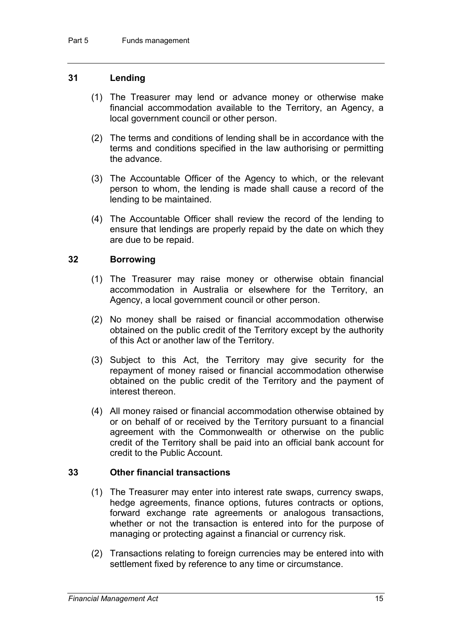#### **31 Lending**

- (1) The Treasurer may lend or advance money or otherwise make financial accommodation available to the Territory, an Agency, a local government council or other person.
- (2) The terms and conditions of lending shall be in accordance with the terms and conditions specified in the law authorising or permitting the advance.
- (3) The Accountable Officer of the Agency to which, or the relevant person to whom, the lending is made shall cause a record of the lending to be maintained.
- (4) The Accountable Officer shall review the record of the lending to ensure that lendings are properly repaid by the date on which they are due to be repaid.

#### **32 Borrowing**

- (1) The Treasurer may raise money or otherwise obtain financial accommodation in Australia or elsewhere for the Territory, an Agency, a local government council or other person.
- (2) No money shall be raised or financial accommodation otherwise obtained on the public credit of the Territory except by the authority of this Act or another law of the Territory.
- (3) Subject to this Act, the Territory may give security for the repayment of money raised or financial accommodation otherwise obtained on the public credit of the Territory and the payment of interest thereon.
- (4) All money raised or financial accommodation otherwise obtained by or on behalf of or received by the Territory pursuant to a financial agreement with the Commonwealth or otherwise on the public credit of the Territory shall be paid into an official bank account for credit to the Public Account.

#### **33 Other financial transactions**

- (1) The Treasurer may enter into interest rate swaps, currency swaps, hedge agreements, finance options, futures contracts or options, forward exchange rate agreements or analogous transactions, whether or not the transaction is entered into for the purpose of managing or protecting against a financial or currency risk.
- (2) Transactions relating to foreign currencies may be entered into with settlement fixed by reference to any time or circumstance.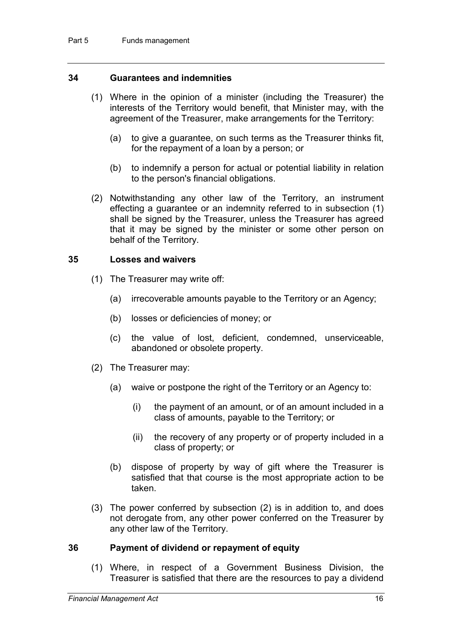#### **34 Guarantees and indemnities**

- (1) Where in the opinion of a minister (including the Treasurer) the interests of the Territory would benefit, that Minister may, with the agreement of the Treasurer, make arrangements for the Territory:
	- (a) to give a guarantee, on such terms as the Treasurer thinks fit, for the repayment of a loan by a person; or
	- (b) to indemnify a person for actual or potential liability in relation to the person's financial obligations.
- (2) Notwithstanding any other law of the Territory, an instrument effecting a guarantee or an indemnity referred to in subsection (1) shall be signed by the Treasurer, unless the Treasurer has agreed that it may be signed by the minister or some other person on behalf of the Territory.

#### **35 Losses and waivers**

- (1) The Treasurer may write off:
	- (a) irrecoverable amounts payable to the Territory or an Agency;
	- (b) losses or deficiencies of money; or
	- (c) the value of lost, deficient, condemned, unserviceable, abandoned or obsolete property.
- (2) The Treasurer may:
	- (a) waive or postpone the right of the Territory or an Agency to:
		- (i) the payment of an amount, or of an amount included in a class of amounts, payable to the Territory; or
		- (ii) the recovery of any property or of property included in a class of property; or
	- (b) dispose of property by way of gift where the Treasurer is satisfied that that course is the most appropriate action to be taken.
- (3) The power conferred by subsection (2) is in addition to, and does not derogate from, any other power conferred on the Treasurer by any other law of the Territory.

#### **36 Payment of dividend or repayment of equity**

(1) Where, in respect of a Government Business Division, the Treasurer is satisfied that there are the resources to pay a dividend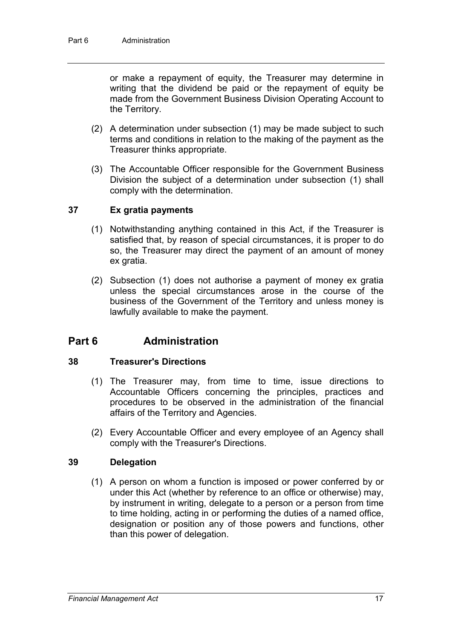or make a repayment of equity, the Treasurer may determine in writing that the dividend be paid or the repayment of equity be made from the Government Business Division Operating Account to the Territory.

- (2) A determination under subsection (1) may be made subject to such terms and conditions in relation to the making of the payment as the Treasurer thinks appropriate.
- (3) The Accountable Officer responsible for the Government Business Division the subject of a determination under subsection (1) shall comply with the determination.

#### **37 Ex gratia payments**

- (1) Notwithstanding anything contained in this Act, if the Treasurer is satisfied that, by reason of special circumstances, it is proper to do so, the Treasurer may direct the payment of an amount of money ex gratia.
- (2) Subsection (1) does not authorise a payment of money ex gratia unless the special circumstances arose in the course of the business of the Government of the Territory and unless money is lawfully available to make the payment.

#### **Part 6 Administration**

#### **38 Treasurer's Directions**

- (1) The Treasurer may, from time to time, issue directions to Accountable Officers concerning the principles, practices and procedures to be observed in the administration of the financial affairs of the Territory and Agencies.
- (2) Every Accountable Officer and every employee of an Agency shall comply with the Treasurer's Directions.

#### **39 Delegation**

(1) A person on whom a function is imposed or power conferred by or under this Act (whether by reference to an office or otherwise) may, by instrument in writing, delegate to a person or a person from time to time holding, acting in or performing the duties of a named office, designation or position any of those powers and functions, other than this power of delegation.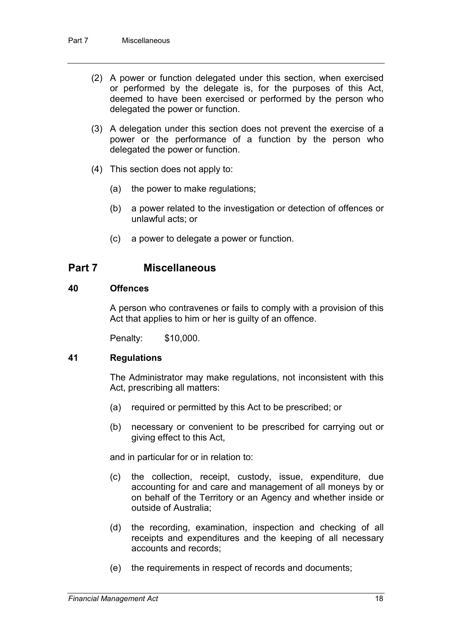- (2) A power or function delegated under this section, when exercised or performed by the delegate is, for the purposes of this Act, deemed to have been exercised or performed by the person who delegated the power or function.
- (3) A delegation under this section does not prevent the exercise of a power or the performance of a function by the person who delegated the power or function.
- (4) This section does not apply to:
	- (a) the power to make regulations;
	- (b) a power related to the investigation or detection of offences or unlawful acts; or
	- (c) a power to delegate a power or function.

#### **Part 7 Miscellaneous**

#### **40 Offences**

A person who contravenes or fails to comply with a provision of this Act that applies to him or her is guilty of an offence.

Penalty: \$10,000.

#### **41 Regulations**

The Administrator may make regulations, not inconsistent with this Act, prescribing all matters:

- (a) required or permitted by this Act to be prescribed; or
- (b) necessary or convenient to be prescribed for carrying out or giving effect to this Act,

and in particular for or in relation to:

- (c) the collection, receipt, custody, issue, expenditure, due accounting for and care and management of all moneys by or on behalf of the Territory or an Agency and whether inside or outside of Australia;
- (d) the recording, examination, inspection and checking of all receipts and expenditures and the keeping of all necessary accounts and records;
- (e) the requirements in respect of records and documents;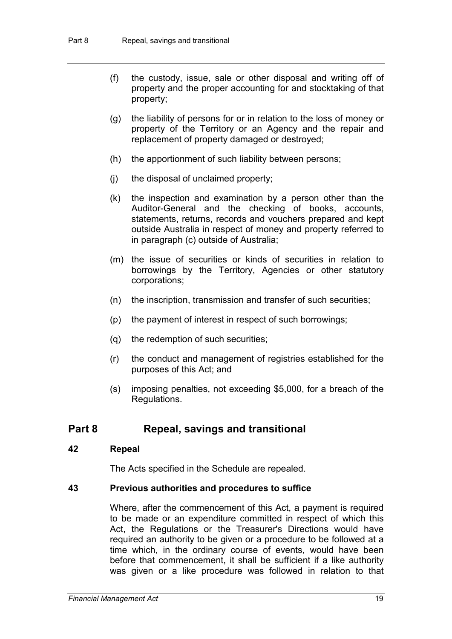- (f) the custody, issue, sale or other disposal and writing off of property and the proper accounting for and stocktaking of that property;
- (g) the liability of persons for or in relation to the loss of money or property of the Territory or an Agency and the repair and replacement of property damaged or destroyed;
- (h) the apportionment of such liability between persons;
- (j) the disposal of unclaimed property;
- (k) the inspection and examination by a person other than the Auditor-General and the checking of books, accounts, statements, returns, records and vouchers prepared and kept outside Australia in respect of money and property referred to in paragraph (c) outside of Australia;
- (m) the issue of securities or kinds of securities in relation to borrowings by the Territory, Agencies or other statutory corporations;
- (n) the inscription, transmission and transfer of such securities;
- (p) the payment of interest in respect of such borrowings;
- (q) the redemption of such securities;
- (r) the conduct and management of registries established for the purposes of this Act; and
- (s) imposing penalties, not exceeding \$5,000, for a breach of the Regulations.

#### **Part 8 Repeal, savings and transitional**

#### **42 Repeal**

The Acts specified in the Schedule are repealed.

#### **43 Previous authorities and procedures to suffice**

Where, after the commencement of this Act, a payment is required to be made or an expenditure committed in respect of which this Act, the Regulations or the Treasurer's Directions would have required an authority to be given or a procedure to be followed at a time which, in the ordinary course of events, would have been before that commencement, it shall be sufficient if a like authority was given or a like procedure was followed in relation to that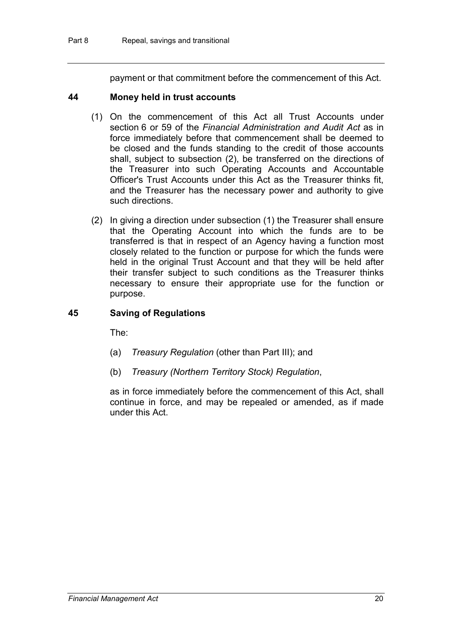payment or that commitment before the commencement of this Act.

#### **44 Money held in trust accounts**

- (1) On the commencement of this Act all Trust Accounts under section 6 or 59 of the *Financial Administration and Audit Act* as in force immediately before that commencement shall be deemed to be closed and the funds standing to the credit of those accounts shall, subject to subsection (2), be transferred on the directions of the Treasurer into such Operating Accounts and Accountable Officer's Trust Accounts under this Act as the Treasurer thinks fit, and the Treasurer has the necessary power and authority to give such directions.
- (2) In giving a direction under subsection (1) the Treasurer shall ensure that the Operating Account into which the funds are to be transferred is that in respect of an Agency having a function most closely related to the function or purpose for which the funds were held in the original Trust Account and that they will be held after their transfer subject to such conditions as the Treasurer thinks necessary to ensure their appropriate use for the function or purpose.

#### **45 Saving of Regulations**

The:

- (a) *Treasury Regulation* (other than Part III); and
- (b) *Treasury (Northern Territory Stock) Regulation*,

as in force immediately before the commencement of this Act, shall continue in force, and may be repealed or amended, as if made under this Act.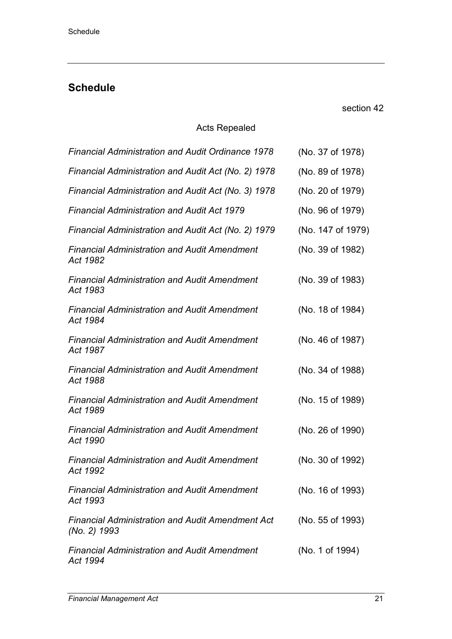# **Schedule**

section 42

#### Acts Repealed

| <b>Financial Administration and Audit Ordinance 1978</b>                | (No. 37 of 1978)  |
|-------------------------------------------------------------------------|-------------------|
| Financial Administration and Audit Act (No. 2) 1978                     | (No. 89 of 1978)  |
| Financial Administration and Audit Act (No. 3) 1978                     | (No. 20 of 1979)  |
| <b>Financial Administration and Audit Act 1979</b>                      | (No. 96 of 1979)  |
| Financial Administration and Audit Act (No. 2) 1979                     | (No. 147 of 1979) |
| <b>Financial Administration and Audit Amendment</b><br>Act 1982         | (No. 39 of 1982)  |
| <b>Financial Administration and Audit Amendment</b><br>Act 1983         | (No. 39 of 1983)  |
| <b>Financial Administration and Audit Amendment</b><br>Act 1984         | (No. 18 of 1984)  |
| <b>Financial Administration and Audit Amendment</b><br>Act 1987         | (No. 46 of 1987)  |
| <b>Financial Administration and Audit Amendment</b><br>Act 1988         | (No. 34 of 1988)  |
| <b>Financial Administration and Audit Amendment</b><br>Act 1989         | (No. 15 of 1989)  |
| <b>Financial Administration and Audit Amendment</b><br>Act 1990         | (No. 26 of 1990)  |
| <b>Financial Administration and Audit Amendment</b><br>Act 1992         | (No. 30 of 1992)  |
| <b>Financial Administration and Audit Amendment</b><br>Act 1993         | (No. 16 of 1993)  |
| <b>Financial Administration and Audit Amendment Act</b><br>(No. 2) 1993 | (No. 55 of 1993)  |
| <b>Financial Administration and Audit Amendment</b><br>Act 1994         | (No. 1 of 1994)   |